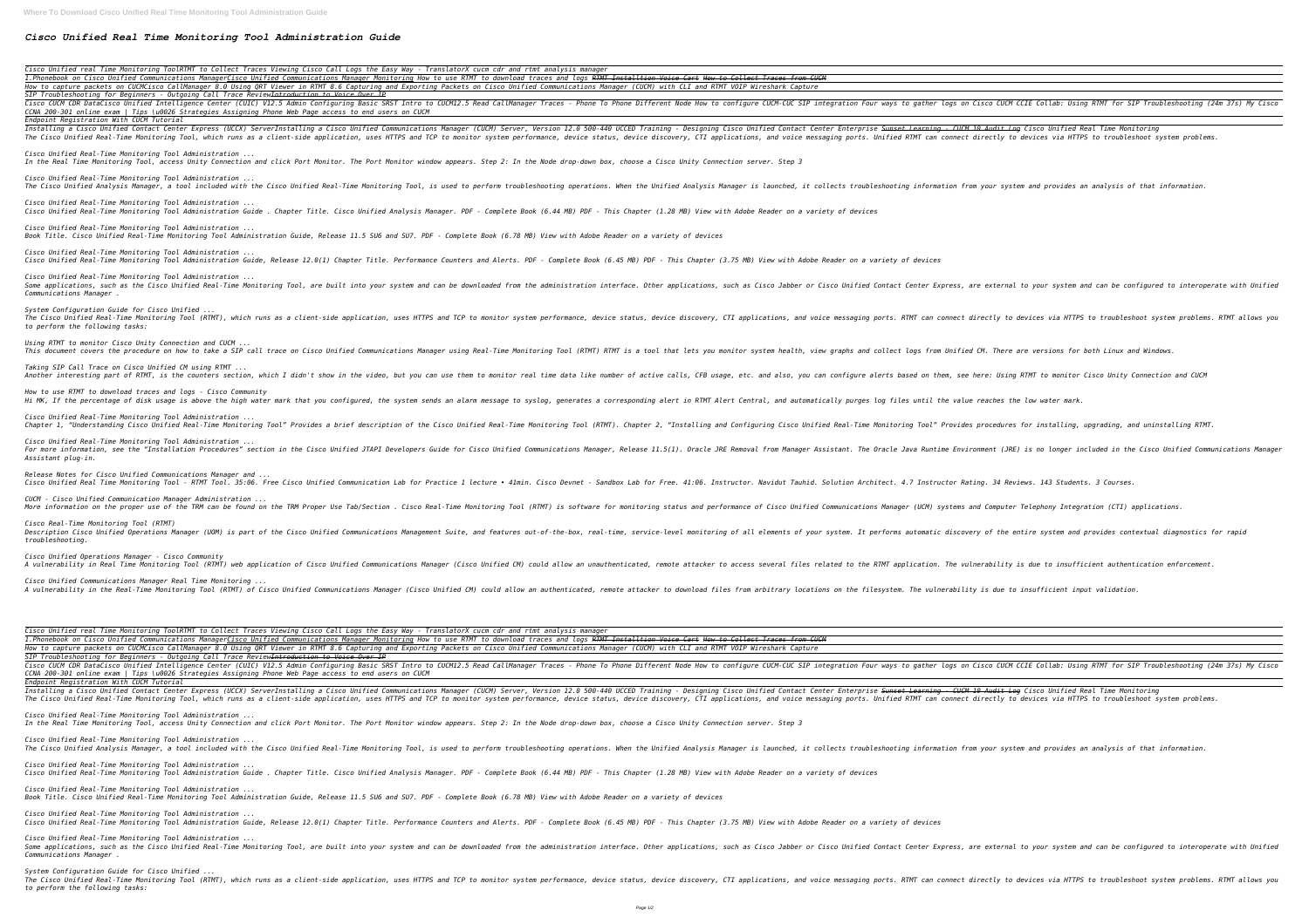## *Cisco Unified Real Time Monitoring Tool Administration Guide*

*Cisco Unified real Time Monitoring ToolRTMT to Collect Traces* Viewing Cisco Call Logs the Easy Way - TranslatorX cucm o 1. Phonebook on Cisco Unified Communications ManagerCisco Unified Communications Manager Monitoring How to use RTMT to How to capture packets on CUCMCisco CallManager 8.0 Using QRT Viewer in RTMT 8.6 Capturing and Exporting Packets on Cis *SIP Troubleshooting for Beginners - Outgoing Call Trace ReviewIntroduction to Voice Over IP* Cisco CUCM CDR DataCisco Unified Intelligence Center (CUIC) V12.5 Admin Configuring Basic SRST Intro to CUCM12.5 Read CallManager Traces - Phone Different Node How to configure CUCM -CUC SIP integration Four ways to gather *CCNA 200-301 online exam | Tips \u0026 Strategies Assigning Phone Web Page access to end users on CUCM Endpoint Registration With CUCM Tutorial* Installing a Cisco Unified Contact Center Express (UCCX) ServerInstalling a Cisco Unified Communications Manager (CUCM) Server, Version 12.0 500-440 UCCED Training - Designing Cisco Unified Contact Center Enterprise <del>Sunse</del> The Cisco Unified Real-Time Monitoring Tool, which runs as a client-side application, uses HTTPS and TCP to monitor system performance, device status, device status, device discovery, CTI applications, and voice messaging *Cisco Unified Real-Time Monitoring Tool Administration ... In the Real Time Monitoring Tool, access Unity Connection and click Port Monitor. The Port Monitor window appears. Step 2: In the Node drop-down box, choose a Cisco Unity Connection server. Step 3 Cisco Unified Real-Time Monitoring Tool Administration ...* The Cisco Unified Analysis Manager, a tool included with the Cisco Unified Real-Time Monitoring Tool, is used to perform troubleshooting operations. When the Unified Analysis Manager is launched, it collects troubleshootin *Cisco Unified Real-Time Monitoring Tool Administration ... Cisco Unified Real-Time Monitoring Tool Administration Guide . Chapter Title. Cisco Unified Analysis Manager. PDF - Complete Book (6.44 MB) PDF - This Chapter (1.28 MB) View with Adobe Reader on a variety of devices Cisco Unified Real-Time Monitoring Tool Administration ... Book Title. Cisco Unified Real-Time Monitoring Tool Administration Guide, Release 11.5 SU6 and SU7. PDF - Complete Book (6.78 MB) View with Adobe Reader on a variety of devices Cisco Unified Real-Time Monitoring Tool Administration ...* Cisco Unified Real-Time Monitoring Tool Administration Guide, Release 12.0(1) Chapter Title. Performance Counters and Alerts. PDF - Complete Book (6.45 MB) PDF - This Chapter (3.75 MB) View with Adobe Reader on a variety o *Cisco Unified Real-Time Monitoring Tool Administration ...* Some applications, such as the Cisco Unified Real-Time Monitoring Tool, are built into your system and can be downloaded from the administration interface. Other applications, such as Cisco Unified Contact Center Express, *Communications Manager . System Configuration Guide for Cisco Unified ...* The Cisco Unified Real-Time Monitoring Tool (RTMT), which runs as a client-side application, uses HTTPS and TCP to monitor system performance, device status, device discovery, CTI applications, and voice messaging ports. R *to perform the following tasks: Using RTMT to monitor Cisco Unity Connection and CUCM ...* This document covers the procedure on how to take a SIP call trace on Cisco Unified Communications Manager using Real-Time Monitoring Tool (RTMT) RTMT is a tool that lets you monitor system health, view graphs and collect *Taking SIP Call Trace on Cisco Unified CM using RTMT ...* Another interesting part of RTMT, is the counters section, which I didn't show in the video, but you can use them to monitor real time data like number of active calls, CFB usage, etc. and also, you can configure alerts ba *How to use RTMT to download traces and logs - Cisco Community* Hi MK, If the percentage of disk usage is above the high water mark that you configured, the system sends an alarm message to syslog, generates a corresponding alert in RTMT Alert Central, and automatically purges log file *Cisco Unified Real-Time Monitoring Tool Administration ...* Chapter 1, "Understanding Cisco Unified Real-Time Monitoring Tool" Provides a brief description of the Cisco Unified Real-Time Monitoring Tool (RTMT). Chapter 2, "Installing and Configuring Cisco Unified Real-Time Monitori *Cisco Unified Real-Time Monitoring Tool Administration ...* For more information, see the "Installation Procedures" section in the Cisco Unified JTAPI Developers Guide for Cisco Unified Communications Manager, Release 11.5(1). Oracle Java Runtime Environment (JRE) is no longer incl *Assistant plug-in. Release Notes for Cisco Unified Communications Manager and ...* Cisco Unified Real Time Monitoring Tool - RTMT Tool. 35:06. Free Cisco Unified Communication Lab for Practice 1 lecture . Sandbox Lab for Free. 41:06. Instructor. Navidut Tauhid. Solution Architect. 4.7 Instructor Rating. *CUCM - Cisco Unified Communication Manager Administration ...* More information on the proper use of the TRM can be found on the TRM Proper Use Tab/Section . Cisco Real-Time Monitoring Tool (RTMT) is software for monitoring status and performance of Cisco Unified Communications Manage *Cisco Real-Time Monitoring Tool (RTMT)* Description Cisco Unified Operations Manager (UOM) is part of the Cisco Unified Communications Management Suite, and features out-of-the-box, real-time, service-level monitoring of all elements of your system. It performs *troubleshooting. Cisco Unified Operations Manager - Cisco Community* A vulnerability in Real Time Monitoring Tool (RTMT) web application of Cisco Unified Communications Manager (Cisco Unified CM) could allow an unauthenticated, remote attacker to access several files related to the RTMT app *Cisco Unified Communications Manager Real Time Monitoring ...* A vulnerability in the Real-Time Monitoring Tool (RTMT) of Cisco Unified Communications Manager (Cisco Unified CM) could allow an authenticated, remote attacker to download files from arbitrary locations on the filesystem. *Cisco Unified real Time Monitoring ToolRTMT to Collect Traces Viewing Cisco Call Logs the Easy Way - TranslatorX cucm cdr and rtmt analysis manager*  1. Phonebook on Cisco Unified Communications ManagerCisco Unified Communications Manager Monitoring How to use RTMT to do How to capture packets on CUCMCisco CallManager 8.0 Using QRT Viewer in RTMT 8.6 Capturing and Exporting Packets on Cise *SIP Troubleshooting for Beginners - Outgoing Call Trace ReviewIntroduction to Voice Over IP* Cisco CUCM CDR DataCisco Unified Intelligence Center (CUIC) V12.5 Admin Configuring Basic SRST Intro to CUCM12.5 Read CallManager Traces - Phone To Phone Different Node How to configure CUCM -CUC SIP integration Four ways *CCNA 200-301 online exam | Tips \u0026 Strategies Assigning Phone Web Page access to end users on CUCM Endpoint Registration With CUCM Tutorial* Installing a Cisco Unified Contact Center Express (UCCX) ServerInstalling a Cisco Unified Communications Manager (CUCM) Server, Version 12.0 500-440 UCCED Training - Designing Cisco Unified Contact Center Enterprise Sunset The Cisco Unified Real-Time Monitoring Tool, which runs as a client-side application, uses HTTPS and TCP to monitor system performance, device status, device aiscovery, CTI applications, and voice messaging ports. Unified *Cisco Unified Real-Time Monitoring Tool Administration ... In the Real Time Monitoring Tool, access Unity Connection and click Port Monitor. The Port Monitor window appears. Step 2: In the Node drop-down box, choose a Cisco Unity Connection server. Step 3 Cisco Unified Real-Time Monitoring Tool Administration ...* The Cisco Unified Analysis Manager, a tool included with the Cisco Unified Real-Time Monitoring Tool, is used to perform troubleshooting operations. When the Unified Analysis Manager is launched, it collects troubleshootin *Cisco Unified Real-Time Monitoring Tool Administration ... Cisco Unified Real-Time Monitoring Tool Administration Guide . Chapter Title. Cisco Unified Analysis Manager. PDF - Complete Book (6.44 MB) PDF - This Chapter (1.28 MB) View with Adobe Reader on a variety of devices Cisco Unified Real-Time Monitoring Tool Administration ... Book Title. Cisco Unified Real-Time Monitoring Tool Administration Guide, Release 11.5 SU6 and SU7. PDF - Complete Book (6.78 MB) View with Adobe Reader on a variety of devices Cisco Unified Real-Time Monitoring Tool Administration ...* Cisco Unified Real-Time Monitoring Tool Administration Guide, Release 12.0(1) Chapter Title. Performance Counters and Alerts. PDF - Complete Book (6.45 MB) PDF - This Chapter (3.75 MB) View with Adobe Reader on a variety o *Cisco Unified Real-Time Monitoring Tool Administration ...* Some applications, such as the Cisco Unified Real-Time Monitoring Tool, are built into your system and can be downloaded from the administration interface. Other applications, such as Cisco Unified Contact Center Express, *Communications Manager . System Configuration Guide for Cisco Unified ...* The Cisco Unified Real-Time Monitoring Tool (RTMT), which runs as a client-side application, uses HTTPS and TCP to monitor system performance, device status, device discovery, CTI applications, and voice messaging ports. R

| cdr and rtmt analysis manager                                                                   |  |
|-------------------------------------------------------------------------------------------------|--|
| download traces and logs <del>RTMT Installtion Voice Cart How to Collect Traces from CUCM</del> |  |
| sco Unified Communications Manager (CUCM) with CLI and RTMT VOIP Wireshark Capture              |  |

| dr and rtmt analysis manager                                                                    |  |
|-------------------------------------------------------------------------------------------------|--|
| lownload traces and logs <del>RTMT Installtion Voice Cart How to Collect Traces from CUCM</del> |  |
| co Unified Communications Manager (CUCM) with CLI and RTMT VOIP Wireshark Capture:              |  |
|                                                                                                 |  |
| .<br>- . - -<br>.<br>- -<br>------ --- --- -                                                    |  |

*to perform the following tasks:*